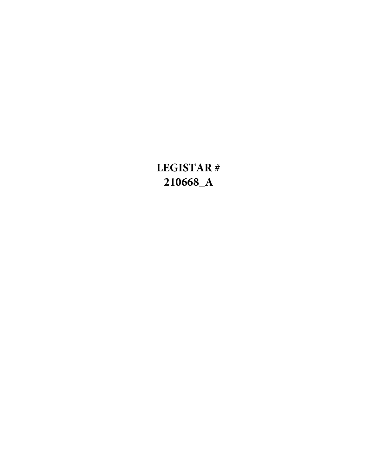## **LEGISTAR # 210668\_A**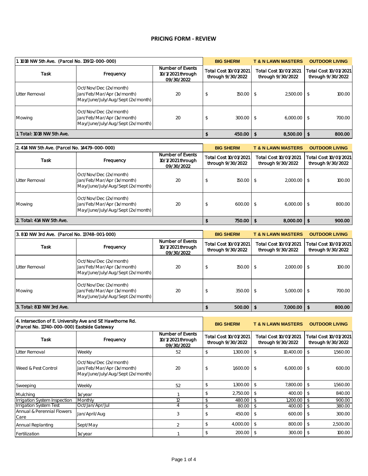## **PRICING FORM - REVIEW**

| 1.1018 NW 5th Ave. (Parcel No. 13912-000-000) |                                                                                           |                                                     |                                            | <b>BIG SHERM</b> | <b>T &amp; N LAWN MASTERS</b>              |                 | <b>OUTDOOR LIVING</b>                      |
|-----------------------------------------------|-------------------------------------------------------------------------------------------|-----------------------------------------------------|--------------------------------------------|------------------|--------------------------------------------|-----------------|--------------------------------------------|
| <b>Task</b>                                   | Frequency                                                                                 | Number of Events<br>10/1/2021 through<br>09/30/2022 | Total Cost 10/01/2021<br>through 9/30/2022 |                  | Total Cost 10/01/2021<br>through 9/30/2022 |                 | Total Cost 10/01/2021<br>through 9/30/2022 |
| Litter Removal                                | Oct/Nov/Dec (2x/month)<br>Jan/Feb/Mar/Apr (1x/month)<br>May/June/July/Aug/Sept (2x/month) | 20                                                  |                                            | 150.00           | -\$                                        | 2,500.00        | 100.00                                     |
| Mowing                                        | Oct/Nov/Dec (2x/month)<br>Jan/Feb/Mar/Apr (1x/month)<br>May/June/July/Aug/Sept (2x/month) | 20                                                  |                                            | 300.00           | -\$                                        | 6,000.00        | 700.00                                     |
| 1. Total: 1018 NW 5th Ave.                    |                                                                                           |                                                     |                                            | 450.00           |                                            | $8,500.00$   \$ | 800.00                                     |

| 2. 414 NW 5th Ave. (Parcel No. 14479-000-000) |                                                                                           |                                                     |                                            | <b>BIG SHERM</b> | <b>T &amp; N LAWN MASTERS</b>              | <b>OUTDOOR LIVING</b>                      |
|-----------------------------------------------|-------------------------------------------------------------------------------------------|-----------------------------------------------------|--------------------------------------------|------------------|--------------------------------------------|--------------------------------------------|
| <b>Task</b>                                   | Frequency                                                                                 | Number of Events<br>10/1/2021 through<br>09/30/2022 | Total Cost 10/01/2021<br>through 9/30/2022 |                  | Total Cost 10/01/2021<br>through 9/30/2022 | Total Cost 10/01/2021<br>through 9/30/2022 |
| Litter Removal                                | Oct/Nov/Dec (2x/month)<br>Jan/Feb/Mar/Apr (1x/month)<br>May/June/July/Aug/Sept (2x/month) | 20                                                  |                                            | $150.00$ \$      | $2,000.00$ \$                              | 100.00                                     |
| Mowing                                        | Oct/Nov/Dec (2x/month)<br>Jan/Feb/Mar/Apr (1x/month)<br>May/June/July/Aug/Sept (2x/month) | 20                                                  |                                            | 600.00 \$        | $6,000.00$ \$                              | 800.00                                     |
| 2. Total: 414 NW 5th Ave.                     |                                                                                           |                                                     |                                            | 750.00           | $8,000.00$   \$                            | 900.00                                     |

| 3.810 NW 3rd Ave. (Parcel No. 13748-001-000) |                                                                                           |                                                     |                                            | <b>BIG SHERM</b> | <b>T &amp; N LAWN MASTERS</b>              |          | <b>OUTDOOR LIVING</b>                      |        |
|----------------------------------------------|-------------------------------------------------------------------------------------------|-----------------------------------------------------|--------------------------------------------|------------------|--------------------------------------------|----------|--------------------------------------------|--------|
| <b>Task</b>                                  | Frequency                                                                                 | Number of Events<br>10/1/2021 through<br>09/30/2022 | Total Cost 10/01/2021<br>through 9/30/2022 |                  | Total Cost 10/01/2021<br>through 9/30/2022 |          | Total Cost 10/01/2021<br>through 9/30/2022 |        |
| Litter Removal                               | Oct/Nov/Dec (2x/month)<br>Jan/Feb/Mar/Apr (1x/month)<br>May/June/July/Aug/Sept (2x/month) | 20                                                  |                                            | 150.00           |                                            | 2,000.00 |                                            | 100.00 |
| Mowing                                       | Oct/Nov/Dec (2x/month)<br>Jan/Feb/Mar/Apr (1x/month)<br>May/June/July/Aug/Sept (2x/month) | 20                                                  |                                            | 350.00           |                                            | 5,000.00 |                                            | 700.00 |
| 3. Total: 810 NW 3rd Ave.                    |                                                                                           |                                                     |                                            | 500.00           |                                            | 7,000.00 |                                            | 800.00 |

| 4. Intersection of E. University Ave and SE Hawthorne Rd.<br>(Parcel No. 11740-000-000) Eastside Gateway |                                                                                           |                                                     |                                            | <b>BIG SHERM</b> |                                            | <b>T &amp; N LAWN MASTERS</b> |               | <b>OUTDOOR LIVING</b>                      |
|----------------------------------------------------------------------------------------------------------|-------------------------------------------------------------------------------------------|-----------------------------------------------------|--------------------------------------------|------------------|--------------------------------------------|-------------------------------|---------------|--------------------------------------------|
| <b>Task</b>                                                                                              | Frequency                                                                                 | Number of Events<br>10/1/2021 through<br>09/30/2022 | Total Cost 10/01/2021<br>through 9/30/2022 |                  | Total Cost 10/01/2021<br>through 9/30/2022 |                               |               | Total Cost 10/01/2021<br>through 9/30/2022 |
| Litter Removal                                                                                           | Weekly                                                                                    | 52                                                  | \$.                                        | 1,300.00         | $\mathcal{L}$                              | 10,400.00                     | \$            | 1,560.00                                   |
| Weed & Pest Control                                                                                      | Oct/Nov/Dec (2x/month)<br>Jan/Feb/Mar/Apr (1x/month)<br>May/June/July/Aug/Sept (2x/month) | 20                                                  | \$                                         | 1,600.00         | $\mathcal{L}$                              | 6,000.00                      | $\mathcal{L}$ | 600.00                                     |
| Sweeping                                                                                                 | Weekly                                                                                    | 52                                                  |                                            | 1,300.00         | \$                                         | 7,800.00                      | \$            | 1,560.00                                   |
| <b>Mulching</b>                                                                                          | 1x/year                                                                                   |                                                     | \$                                         | 2,750.00         | -S                                         | 400.00                        | \$            | 840.00                                     |
| Irrigation System Inspection                                                                             | Monthly                                                                                   | 12                                                  | \$                                         | 480.00           |                                            | 1,200.00                      |               | 900.00                                     |
| <b>Irrigation System Test</b>                                                                            | Oct/Jan/Apr/Jul                                                                           |                                                     | $\mathcal{S}$                              | 80.00            | \$                                         | 400.00                        | \$            | 380.00                                     |
| Annual & Perennial Flowers<br>Care                                                                       | Jan/April/Aug                                                                             | 3                                                   | \$                                         | 450.00           | -S                                         | 600.00                        |               | 300.00                                     |
| Annual Replanting                                                                                        | Sept/May                                                                                  | $\mathcal{P}$                                       | \$                                         | 4,000.00         | -S                                         | 800.00                        | \$            | 2,500.00                                   |
| Fertilization                                                                                            | 1x/year                                                                                   |                                                     | \$                                         | 200.00           | -\$                                        | 300.00                        |               | 100.00                                     |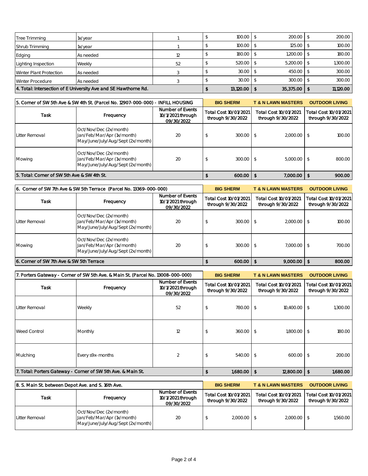| Tree Trimming           | 1x/year                                                         |    | 100.00    | $200.00$ \$     | 200.00    |
|-------------------------|-----------------------------------------------------------------|----|-----------|-----------------|-----------|
| Shrub Trimming          | 1x/year                                                         |    | 100.00    | $125.00$ \$     | 100.00    |
| Edging                  | As needed                                                       |    | 180.00 \$ | $1,200.00$ \$   | 180.00    |
| Lighting Inspection     | Weekly                                                          | 52 | 520.00    | $5,200.00$ \ \$ | 1,300.00  |
| Winter Plant Protection | As needed                                                       |    | 30.00     | 450.00          | 300.00    |
| Winter Procedure        | As needed                                                       |    | 30.00     | 300.00          | 300.00    |
|                         | 4. Total: Intersection of E University Ave and SE Hawthorne Rd. |    | 13,120.00 | $35,375.00$     | 11,120.00 |

| 5. Corner of SW 5th Ave & SW 4th St. (Parcel No. 12907-000-000) - INFILL HOUSING |                                                                                           | <b>BIG SHERM</b>                                    | <b>T &amp; N LAWN MASTERS</b>              | <b>OUTDOOR LIVING</b>                      |                                            |
|----------------------------------------------------------------------------------|-------------------------------------------------------------------------------------------|-----------------------------------------------------|--------------------------------------------|--------------------------------------------|--------------------------------------------|
| <b>Task</b>                                                                      | Frequency                                                                                 | Number of Events<br>10/1/2021 through<br>09/30/2022 | Total Cost 10/01/2021<br>through 9/30/2022 | Total Cost 10/01/2021<br>through 9/30/2022 | Total Cost 10/01/2021<br>through 9/30/2022 |
| Litter Removal                                                                   | Oct/Nov/Dec (2x/month)<br>Jan/Feb/Mar/Apr (1x/month)<br>May/June/July/Aug/Sept (2x/month) | 20                                                  | 300.00                                     | $2,000.00$ \$                              | 100.00                                     |
| Mowing                                                                           | Oct/Nov/Dec (2x/month)<br>Jan/Feb/Mar/Apr (1x/month)<br>May/June/July/Aug/Sept (2x/month) | 20                                                  | 300.00                                     | $5,000.00$ \$                              | 800.00                                     |
| 5. Total: Corner of SW 5th Ave & SW 4th St.                                      |                                                                                           |                                                     | $600.00$   \$                              | $7,000.00$   \$                            | 900.00                                     |

| 6. Corner of SW 7th Ave & SW 5th Terrace (Parcel No. 13369-000-000) |                                                                                           | <b>BIG SHERM</b>                                    | <b>T &amp; N LAWN MASTERS</b>                                                            | <b>OUTDOOR LIVING</b> |                   |
|---------------------------------------------------------------------|-------------------------------------------------------------------------------------------|-----------------------------------------------------|------------------------------------------------------------------------------------------|-----------------------|-------------------|
| Task                                                                | Frequency                                                                                 | Number of Events<br>10/1/2021 through<br>09/30/2022 | Total Cost 10/01/2021<br>Total Cost 10/01/2021<br>through 9/30/2022<br>through 9/30/2022 |                       | through 9/30/2022 |
| Litter Removal                                                      | Oct/Nov/Dec (2x/month)<br>Jan/Feb/Mar/Apr (1x/month)<br>May/June/July/Aug/Sept (2x/month) | 20                                                  | 300.00                                                                                   | $2,000.00$ \$         | 100.00            |
| Mowing                                                              | Oct/Nov/Dec (2x/month)<br>Jan/Feb/Mar/Apr (1x/month)<br>May/June/July/Aug/Sept (2x/month) | 20                                                  | 300.00                                                                                   | $7,000.00$ \$         | 700.00            |
| 6. Corner of SW 7th Ave & SW 5th Terrace                            |                                                                                           |                                                     | 600.00                                                                                   | $9,000.00$   \$<br>-S | 800.00            |

| 7. Porters Gateway - Corner of SW 5th Ave. & Main St. (Parcel No. 13008-000-000) |                                                              | <b>BIG SHERM</b>                                    |                                            | <b>T &amp; N LAWN MASTERS</b>              |                  | <b>OUTDOOR LIVING</b> |                                            |
|----------------------------------------------------------------------------------|--------------------------------------------------------------|-----------------------------------------------------|--------------------------------------------|--------------------------------------------|------------------|-----------------------|--------------------------------------------|
| <b>Task</b>                                                                      | Frequency                                                    | Number of Events<br>10/1/2021 through<br>09/30/2022 | Total Cost 10/01/2021<br>through 9/30/2022 | Total Cost 10/01/2021<br>through 9/30/2022 |                  |                       | Total Cost 10/01/2021<br>through 9/30/2022 |
| Litter Removal                                                                   | Weekly                                                       | 52                                                  | 780.00                                     | - \$                                       | 10,400.00        | - \$                  | 1,300.00                                   |
| <b>Weed Control</b>                                                              | Monthly                                                      | 12                                                  | 360.00                                     | - \$                                       | 1,800.00         | - \$                  | 180.00                                     |
| Mulching                                                                         | Every s9x-months                                             |                                                     | 540.00                                     |                                            | 600.00           | - \$                  | 200.00                                     |
|                                                                                  | 7. Total: Porters Gateway - Corner of SW 5th Ave. & Main St. |                                                     | $1,680.00$   \$                            |                                            | $12,800.00$   \$ |                       | 1,680.00                                   |

| 8. S. Main St. between Depot Ave. and S. 16th Ave. |                                                                                           |                                                     | <b>BIG SHERM</b>                           | <b>T &amp; N LAWN MASTERS</b>              | <b>OUTDOOR LIVING</b>                      |
|----------------------------------------------------|-------------------------------------------------------------------------------------------|-----------------------------------------------------|--------------------------------------------|--------------------------------------------|--------------------------------------------|
| Task                                               | Frequency                                                                                 | Number of Events<br>10/1/2021 through<br>09/30/2022 | Total Cost 10/01/2021<br>through 9/30/2022 | Total Cost 10/01/2021<br>through 9/30/2022 | Total Cost 10/01/2021<br>through 9/30/2022 |
| Litter Removal                                     | Oct/Nov/Dec (2x/month)<br>Jan/Feb/Mar/Apr (1x/month)<br>May/June/July/Aug/Sept (2x/month) | 20                                                  | $2,000.00$ \$                              | 2,000.00                                   | 1,560.00                                   |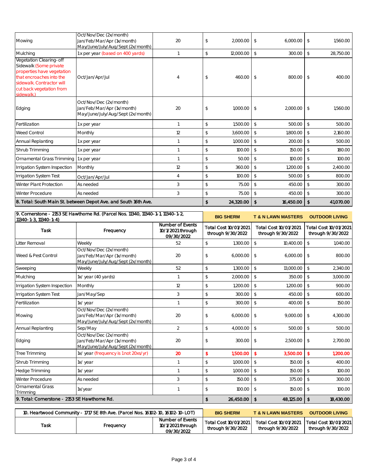| Mowing                                                                                                                                                                             | Oct/Nov/Dec (2x/month)<br>Jan/Feb/Mar/Apr (1x/month)<br>May/June/July/Aug/Sept (2x/month) | 20                                                         | \$            | 2,000.00                                   | \$                      | 6,000.00                                   | 1,560.00<br>\$                             |
|------------------------------------------------------------------------------------------------------------------------------------------------------------------------------------|-------------------------------------------------------------------------------------------|------------------------------------------------------------|---------------|--------------------------------------------|-------------------------|--------------------------------------------|--------------------------------------------|
| Mulching                                                                                                                                                                           | 1 x per year (based on 400 yards)                                                         | $\mathbf{1}$                                               | \$            | 12,000.00                                  | $\sqrt[6]{\frac{1}{2}}$ | 300.00                                     | $\updownarrow$<br>28,750.00                |
| Vegetation Clearing-off<br>Sidewalk (Some private<br>properties have vegetation<br>that encroaches into the<br>sidewalk. Contractor will<br>cut back vegetation from<br>sidewalk.) | Oct/Jan/Apr/Jul                                                                           | 4                                                          | \$            | 460.00                                     | $\sqrt{2}$              | 800.00                                     | \$<br>400.00                               |
| Edging                                                                                                                                                                             | Oct/Nov/Dec (2x/month)<br>Jan/Feb/Mar/Apr (1x/month)<br>May/June/July/Aug/Sept (2x/month) | 20                                                         | \$            | 1,000.00                                   | $\sqrt[6]{\frac{1}{2}}$ | 2,000.00                                   | \$<br>1,560.00                             |
| Fertilization                                                                                                                                                                      | 1 x per year                                                                              | 1                                                          | \$            | 1,500.00                                   | $\sqrt[6]{\frac{1}{2}}$ | 500.00                                     | \$<br>500.00                               |
| <b>Weed Control</b>                                                                                                                                                                | Monthly                                                                                   | 12                                                         | \$            | 3,600.00                                   | $\sqrt{2}$              | 1,800.00                                   | \$<br>2,160.00                             |
| Annual Replanting                                                                                                                                                                  | I x per year                                                                              | $\mathbf{1}$                                               | \$            | 1,000.00                                   | $\sqrt[6]{}$            | 200.00                                     | $\frac{1}{2}$<br>500.00                    |
| Shrub Trimming                                                                                                                                                                     | 1 x per year                                                                              | 1                                                          | \$            | 100.00                                     | $\sqrt[6]{}$            | 150.00                                     | $\sqrt[6]{\frac{1}{2}}$<br>180.00          |
| Ornamental Grass Trimming                                                                                                                                                          | 1 x per year                                                                              | $\mathbf{1}$                                               | \$            | 50.00                                      | $\sqrt[6]{\frac{1}{2}}$ | 100.00                                     | $\sqrt[6]{\frac{1}{2}}$<br>100.00          |
| <b>Irrigation System Inspection</b>                                                                                                                                                | Monthly                                                                                   | 12                                                         | \$            | 360.00                                     | $\sqrt{2}$              | 1,200.00                                   | \$<br>2,400.00                             |
| <b>Irrigation System Test</b>                                                                                                                                                      | Oct/Jan/Apr/Jul                                                                           | $\overline{4}$                                             | \$            | 100.00                                     | $\sqrt{2}$              | 500.00                                     | \$<br>800.00                               |
| Winter Plant Protection                                                                                                                                                            | As needed                                                                                 | $\mathfrak{Z}$                                             | \$            | 75.00                                      | $\sqrt[6]{}$            | 450.00                                     | $\frac{1}{2}$<br>300.00                    |
| Winter Procedure                                                                                                                                                                   | As needed                                                                                 | $\mathfrak{Z}$                                             | \$            | 75.00                                      | $\sqrt[6]{}$            | 450.00                                     | $\sqrt[6]{\frac{1}{2}}$<br>300.00          |
|                                                                                                                                                                                    | 8. Total: South Main St. between Depot Ave. and South 16th Ave.                           |                                                            | \$            | 24,320.00                                  | $\sqrt{2}$              | 16,450.00                                  | \$<br>41,070.00                            |
| 11340-1-3, 11340-1-4)                                                                                                                                                              | 9. Cornerstone - 2153 SE Hawthorne Rd. (Parcel Nos. 11340, 11340-1-1, 11340-1-2,          |                                                            |               | <b>BIG SHERM</b>                           |                         | <b>T &amp; N LAWN MASTERS</b>              | <b>OUTDOOR LIVING</b>                      |
| Task                                                                                                                                                                               | Frequency                                                                                 | <b>Number of Events</b><br>10/1/2021 through<br>09/30/2022 |               | Total Cost 10/01/2021<br>through 9/30/2022 |                         | Total Cost 10/01/2021<br>through 9/30/2022 | Total Cost 10/01/2021<br>through 9/30/2022 |
| Litter Removal                                                                                                                                                                     | Weekly                                                                                    | 52                                                         | \$            | 1,300.00                                   | $\sqrt[6]{\frac{1}{2}}$ | 10,400.00                                  | $\mathbb{S}$<br>1,040.00                   |
| Weed & Pest Control                                                                                                                                                                | Oct/Nov/Dec (2x/month)<br>Jan/Feb/Mar/Apr (1x/month)<br>May/June/July/Aug/Sept (2x/month) | 20                                                         | \$            | 6,000.00                                   | $\sqrt[6]{\frac{1}{2}}$ | 6,000.00                                   | 800.00<br>$\sqrt[6]{\frac{1}{2}}$          |
| Sweeping                                                                                                                                                                           | Weekly                                                                                    | 52                                                         | \$            | 1,300.00                                   | $\sqrt[6]{\frac{1}{2}}$ | 13,000.00                                  | $\sqrt[6]{\frac{1}{2}}$<br>2,340.00        |
| Mulching                                                                                                                                                                           | 1x/ year (40 yards)                                                                       | $\mathbf{1}$                                               | \$            | 2,000.00                                   | $\sqrt[6]{}$            | 350.00                                     | $\mathcal{L}$<br>3,000.00                  |
| Irrigation System Inspection                                                                                                                                                       | Monthly                                                                                   | 12                                                         | \$            | 1,200.00                                   | $\sqrt[6]{\frac{1}{2}}$ | 1,200.00                                   | $\sqrt[6]{\frac{1}{2}}$<br>900.00          |
| <b>Irrigation System Test</b>                                                                                                                                                      | Jan/May/Sep                                                                               | $\mathfrak{Z}$                                             | \$            | 300.00                                     | $\sqrt[6]{}$            | 450.00                                     | $\sqrt[6]{\frac{1}{2}}$<br>600.00          |
| Fertilization                                                                                                                                                                      | 1x/year                                                                                   | 1                                                          | \$            | 300.00                                     | $\sqrt[6]{}$            | 400.00                                     | \$<br>150.00                               |
| Mowing                                                                                                                                                                             | Oct/Nov/Dec (2x/month)<br>Jan/Feb/Mar/Apr (1x/month)<br>May/June/July/Aug/Sept (2x/month) | 20                                                         | \$            | 6,000.00                                   | $\sqrt[6]{\frac{1}{2}}$ | 9,000.00                                   | \$<br>4,300.00                             |
| Annual Replanting                                                                                                                                                                  | Sep/May                                                                                   | $\overline{2}$                                             | $\mathcal{L}$ | 4,000.00                                   | $\sqrt$                 | 500.00                                     | $\mathcal{L}$<br>500.00                    |
| Edging                                                                                                                                                                             | Oct/Nov/Dec (2x/month)<br>Jan/Feb/Mar/Apr (1x/month)<br>May/June/July/Aug/Sept (2x/month) | 20                                                         | \$            | 300.00                                     | $\sqrt[6]{\frac{1}{2}}$ | 2,500.00                                   | \$<br>2,700.00                             |
| <b>Tree Trimming</b>                                                                                                                                                               | 1x/ year (frequency is 1 not 20xs/yr)                                                     | 20                                                         | \$            | 1,500.00                                   | $\sqrt{2}$              | 3,500.00                                   | $\sqrt[6]{\frac{1}{2}}$<br>1,200.00        |
| Shrub Trimming                                                                                                                                                                     | 1x/year                                                                                   | $\mathbf{1}$                                               | \$            | 1,000.00                                   | $\sqrt{2}$              | 150.00                                     | $\mathbb{S}$<br>400.00                     |
| Hedge Trimming                                                                                                                                                                     | 1x/year                                                                                   | $\mathbf{1}$                                               | \$            | 1,000.00                                   | $\sqrt[6]{}$            | 150.00                                     | $\sqrt[6]{\frac{1}{2}}$<br>100.00          |
| Winter Procedure                                                                                                                                                                   | As needed                                                                                 | $\mathfrak{Z}$                                             | \$            | 150.00                                     | $\sqrt[6]{}$            | 375.00                                     | $\sqrt$<br>300.00                          |
| <b>Ornamental Grass</b><br>Trimming                                                                                                                                                | 1x/year                                                                                   |                                                            | \$            | 100.00                                     | $\sqrt[6]{\frac{1}{2}}$ | 150.00                                     | \$<br>100.00                               |
| 9. Total: Cornerstone - 2153 SE Hawthorne Rd.                                                                                                                                      |                                                                                           |                                                            | \$            | 26,450.00                                  | $\mathsf{S}$            | 48,125.00                                  | \$<br>18,430.00                            |
|                                                                                                                                                                                    | 10. Heartwood Community - 1717 SE 8th Ave. (Parcel Nos. 16102-10, 16102-10-LOT)           |                                                            |               | <b>BIG SHERM</b>                           |                         | <b>T &amp; N LAWN MASTERS</b>              | <b>OUTDOOR LIVING</b>                      |
| Task                                                                                                                                                                               | Frequency                                                                                 | <b>Number of Events</b><br>10/1/2021 through<br>09/30/2022 |               | Total Cost 10/01/2021<br>through 9/30/2022 |                         | Total Cost 10/01/2021<br>through 9/30/2022 | Total Cost 10/01/2021<br>through 9/30/2022 |